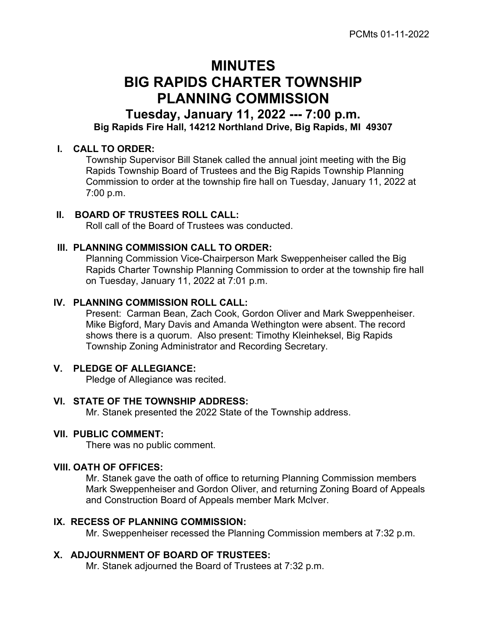# MINUTES BIG RAPIDS CHARTER TOWNSHIP PLANNING COMMISSION

Tuesday, January 11, 2022 --- 7:00 p.m. Big Rapids Fire Hall, 14212 Northland Drive, Big Rapids, MI 49307

# I. CALL TO ORDER:

Township Supervisor Bill Stanek called the annual joint meeting with the Big Rapids Township Board of Trustees and the Big Rapids Township Planning Commission to order at the township fire hall on Tuesday, January 11, 2022 at 7:00 p.m.

# II. BOARD OF TRUSTEES ROLL CALL:

Roll call of the Board of Trustees was conducted.

# III. PLANNING COMMISSION CALL TO ORDER:

Planning Commission Vice-Chairperson Mark Sweppenheiser called the Big Rapids Charter Township Planning Commission to order at the township fire hall on Tuesday, January 11, 2022 at 7:01 p.m.

### IV. PLANNING COMMISSION ROLL CALL:

Present: Carman Bean, Zach Cook, Gordon Oliver and Mark Sweppenheiser. Mike Bigford, Mary Davis and Amanda Wethington were absent. The record shows there is a quorum. Also present: Timothy Kleinheksel, Big Rapids Township Zoning Administrator and Recording Secretary.

# V. PLEDGE OF ALLEGIANCE:

Pledge of Allegiance was recited.

#### VI. STATE OF THE TOWNSHIP ADDRESS:

Mr. Stanek presented the 2022 State of the Township address.

#### VII. PUBLIC COMMENT:

There was no public comment.

# VIII. OATH OF OFFICES:

Mr. Stanek gave the oath of office to returning Planning Commission members Mark Sweppenheiser and Gordon Oliver, and returning Zoning Board of Appeals and Construction Board of Appeals member Mark McIver.

# IX. RECESS OF PLANNING COMMISSION:

Mr. Sweppenheiser recessed the Planning Commission members at 7:32 p.m.

# X. ADJOURNMENT OF BOARD OF TRUSTEES:

Mr. Stanek adjourned the Board of Trustees at 7:32 p.m.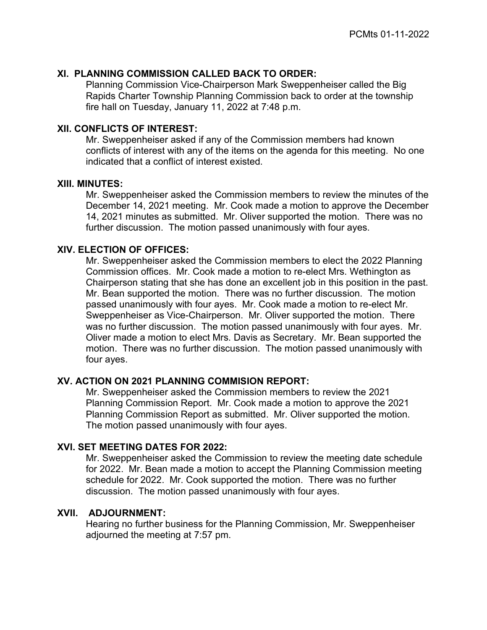# XI. PLANNING COMMISSION CALLED BACK TO ORDER:

Planning Commission Vice-Chairperson Mark Sweppenheiser called the Big Rapids Charter Township Planning Commission back to order at the township fire hall on Tuesday, January 11, 2022 at 7:48 p.m.

#### XII. CONFLICTS OF INTEREST:

Mr. Sweppenheiser asked if any of the Commission members had known conflicts of interest with any of the items on the agenda for this meeting. No one indicated that a conflict of interest existed.

#### XIII. MINUTES:

Mr. Sweppenheiser asked the Commission members to review the minutes of the December 14, 2021 meeting. Mr. Cook made a motion to approve the December 14, 2021 minutes as submitted. Mr. Oliver supported the motion. There was no further discussion. The motion passed unanimously with four ayes.

#### XIV. ELECTION OF OFFICES:

Mr. Sweppenheiser asked the Commission members to elect the 2022 Planning Commission offices. Mr. Cook made a motion to re-elect Mrs. Wethington as Chairperson stating that she has done an excellent job in this position in the past. Mr. Bean supported the motion. There was no further discussion. The motion passed unanimously with four ayes. Mr. Cook made a motion to re-elect Mr. Sweppenheiser as Vice-Chairperson. Mr. Oliver supported the motion. There was no further discussion. The motion passed unanimously with four ayes. Mr. Oliver made a motion to elect Mrs. Davis as Secretary. Mr. Bean supported the motion. There was no further discussion. The motion passed unanimously with four ayes.

# XV. ACTION ON 2021 PLANNING COMMISION REPORT:

Mr. Sweppenheiser asked the Commission members to review the 2021 Planning Commission Report. Mr. Cook made a motion to approve the 2021 Planning Commission Report as submitted. Mr. Oliver supported the motion. The motion passed unanimously with four ayes.

#### XVI. SET MEETING DATES FOR 2022:

Mr. Sweppenheiser asked the Commission to review the meeting date schedule for 2022. Mr. Bean made a motion to accept the Planning Commission meeting schedule for 2022. Mr. Cook supported the motion. There was no further discussion. The motion passed unanimously with four ayes.

# XVII. ADJOURNMENT:

Hearing no further business for the Planning Commission, Mr. Sweppenheiser adjourned the meeting at 7:57 pm.